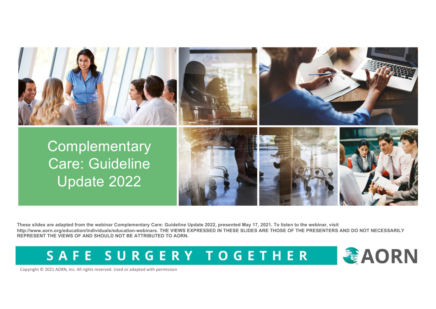

**These slides are adapted from the webinar Complementary Care: Guideline Update 2022, presented May 17, 2021. To listen to the webinar, visit http://www.aorn.org/education/individuals/education-webinars. THE VIEWS EXPRESSED IN THESE SLIDES ARE THOSE OF THE PRESENTERS AND DO NOT NECESSARILY REPRESENT THE VIEWS OF AND SHOULD NOT BE ATTRIBUTED TO AORN.**

SAFE SURGERY TOGETHER



Copyright © 2021 AORN, Inc. All rights reserved. Used or adapted with permission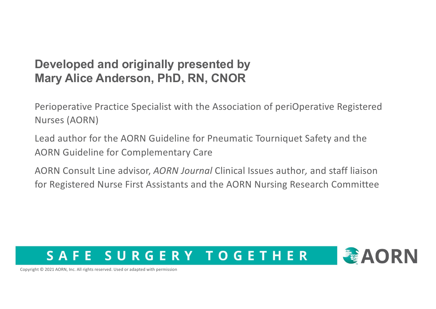## **Developed and originally presented by Mary Alice Anderson, PhD, RN, CNOR**

Perioperative Practice Specialist with the Association of periOperative Registered Nurses (AORN)

Lead author for the AORN Guideline for Pneumatic Tourniquet Safety and the AORN Guideline for Complementary Care

AORN Consult Line advisor, *AORN Journal* Clinical Issues author*,* and staff liaison for Registered Nurse First Assistants and the AORN Nursing Research Committee

## SURGERY TOGETHER SAFF



Copyright © 2021 AORN, Inc. All rights reserved. Used or adapted with permission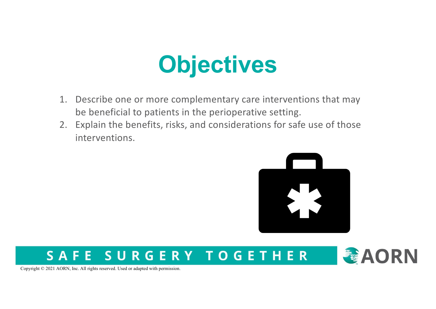## **Objectives**

- 1. Describe one or more complementary care interventions that may be beneficial to patients in the perioperative setting.
- 2. Explain the benefits, risks, and considerations for safe use of those interventions.



## SURGERY TOGETHER SAFE



Copyright © 2021 AORN, Inc. All rights reserved. Used or adapted with permission.